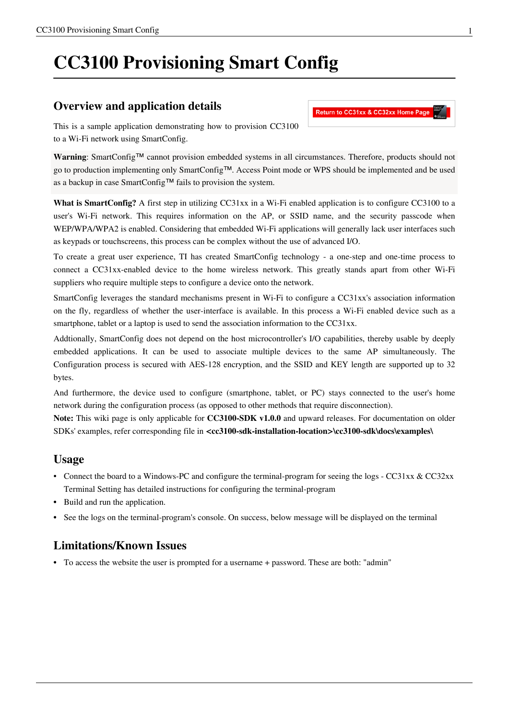# **CC3100 Provisioning Smart Config**

#### **Overview and application details**

This is a sample application demonstrating how to provision CC3100 to a Wi-Fi network using SmartConfig.

**Warning**: SmartConfig™ cannot provision embedded systems in all circumstances. Therefore, products should not go to production implementing only SmartConfig™. Access Point mode or WPS should be implemented and be used as a backup in case SmartConfig™ fails to provision the system.

**What is SmartConfig?** A first step in utilizing CC31xx in a Wi-Fi enabled application is to configure CC3100 to a user's Wi-Fi network. This requires information on the AP, or SSID name, and the security passcode when WEP/WPA/WPA2 is enabled. Considering that embedded Wi-Fi applications will generally lack user interfaces such as keypads or touchscreens, this process can be complex without the use of advanced I/O.

To create a great user experience, TI has created SmartConfig technology - a one-step and one-time process to connect a CC31xx-enabled device to the home wireless network. This greatly stands apart from other Wi-Fi suppliers who require multiple steps to configure a device onto the network.

SmartConfig leverages the standard mechanisms present in Wi-Fi to configure a CC31xx's association information on the fly, regardless of whether the user-interface is available. In this process a Wi-Fi enabled device such as a smartphone, tablet or a laptop is used to send the association information to the CC31xx.

Addtionally, SmartConfig does not depend on the host microcontroller's I/O capabilities, thereby usable by deeply embedded applications. It can be used to associate multiple devices to the same AP simultaneously. The Configuration process is secured with AES-128 encryption, and the SSID and KEY length are supported up to 32 bytes.

And furthermore, the device used to configure (smartphone, tablet, or PC) stays connected to the user's home network during the configuration process (as opposed to other methods that require disconnection).

**Note:** This wiki page is only applicable for **CC3100-SDK v1.0.0** and upward releases. For documentation on older SDKs' examples, refer corresponding file in **<cc3100-sdk-installation-location>\cc3100-sdk\docs\examples\**

#### **Usage**

- Connect the board to a Windows-PC and configure the terminal-program for seeing the logs [CC31xx & CC32xx](http://processors.wiki.ti.com/index.php?title=CC31xx_%26_CC32xx_Terminal_Setting) [Terminal Setting h](http://processors.wiki.ti.com/index.php?title=CC31xx_%26_CC32xx_Terminal_Setting)as detailed instructions for configuring the terminal-program
- Build and run the application.
- See the logs on the terminal-program's console. On success, below message will be displayed on the terminal

### **Limitations/Known Issues**

• To access the website the user is prompted for a username + password. These are both: "admin"

#### Return to CC31xx & CC32xx Home Page